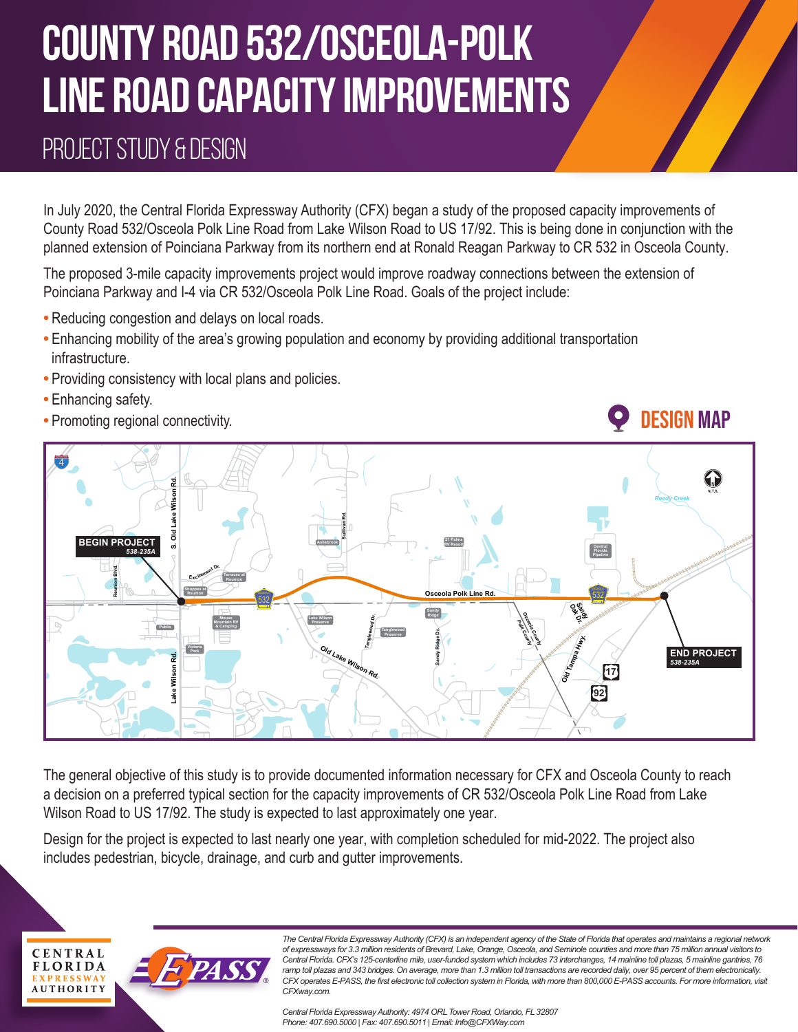# **COUNTY ROAD 532/OSCEOLA-POLK LINE ROAD CAPACITY IMPROVEMENT**S

### PROJECT STUDY & DESIGN

In July 2020, the Central Florida Expressway Authority (CFX) began a study of the proposed capacity improvements of County Road 532/Osceola Polk Line Road from Lake Wilson Road to US 17/92. This is being done in conjunction with the planned extension of Poinciana Parkway from its northern end at Ronald Reagan Parkway to CR 532 in Osceola County.

The proposed 3-mile capacity improvements project would improve roadway connections between the extension of Poinciana Parkway and I-4 via CR 532/Osceola Polk Line Road. Goals of the project include:

- **•** Reducing congestion and delays on local roads.
- **•** Enhancing mobility of the area's growing population and economy by providing additional transportation infrastructure.
- **•** Providing consistency with local plans and policies.
- **•** Enhancing safety.
- **•** Promoting regional connectivity.



The general objective of this study is to provide documented information necessary for CFX and Osceola County to reach a decision on a preferred typical section for the capacity improvements of CR 532/Osceola Polk Line Road from Lake Wilson Road to US 17/92. The study is expected to last approximately one year.

Design for the project is expected to last nearly one year, with completion scheduled for mid-2022. The project also includes pedestrian, bicycle, drainage, and curb and gutter improvements.



*The Central Florida Expressway Authority (CFX) is an independent agency of the State of Florida that operates and maintains a regional network of expressways for 3.3 million residents of Brevard, Lake, Orange, Osceola, and Seminole counties and more than 75 million annual visitors to Central Florida. CFX's 125-centerline mile, user-funded system which includes 73 interchanges, 14 mainline toll plazas, 5 mainline gantries, 76*  ramp toll plazas and 343 bridges. On average, more than 1.3 million toll transactions are recorded daily, over 95 percent of them electronically. CFX operates E-PASS, the first electronic toll collection system in Florida, with more than 800,000 E-PASS accounts. For more information, visit *CFXway.com.* 

Design Map

*Central Florida ExpresswayAuthority: 4974 ORLTower Road, Orlando, FL 32807 Phone: 407.690.5000 | Fax: 407.690.5011 | Email: Info@CFXWay.com*